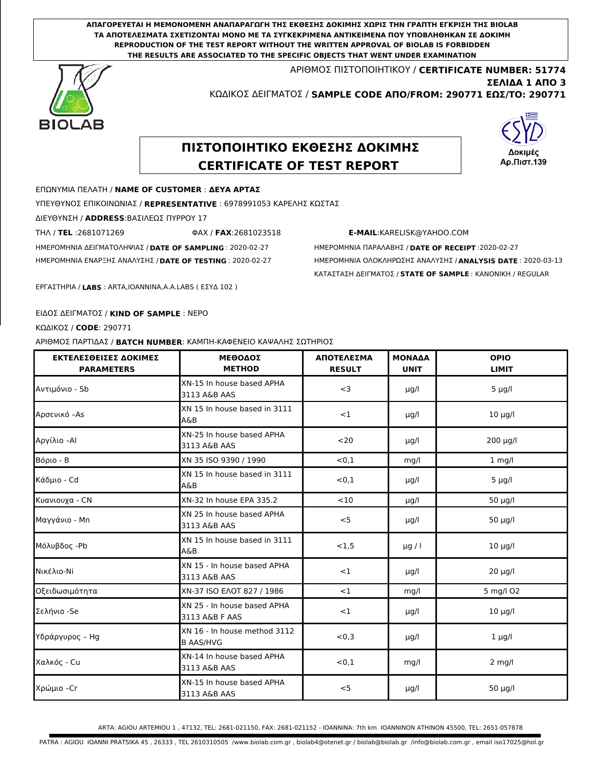**ΑΠΑΓΟΡΕΥΕΤΑΙ Η ΜΕΜΟΝΟΜΕΝΗ ΑΝΑΠΑΡΑΓΩΓΗ ΤΗΣ ΕΚΘΕΣΗΣ ΔΟΚΙΜΗΣ ΧΩΡΙΣ ΤΗΝ ΓΡΑΠΤΗ ΕΓΚΡΙΣΗ ΤΗΣ BIOLAB ΤΑ ΑΠΟΤΕΛΕΣΜΑΤΑ ΣΧΕΤΙΖΟΝΤΑΙ ΜΟΝΟ ΜΕ ΤΑ ΣΥΓΚΕΚΡΙΜΕΝΑ ΑΝΤΙΚΕΙΜΕΝΑ ΠΟΥ ΥΠΟΒΛΗΘΗΚΑΝ ΣΕ ΔΟΚΙΜΗ REPRODUCTION OF THE TEST REPORT WITHOUT THE WRITTEN APPROVAL OF BIOLAB IS FORBIDDEN THE RESULTS ARE ASSOCIATED TO THE SPECIFIC OBJECTS THAT WENT UNDER EXAMINATION**

> ΑΡΙΘΜΟΣ ΠΙΣΤΟΠΟΙΗΤΙΚΟΥ / **CERTIFICATE NUMBER: 51774** ΚΩΔΙΚΟΣ ΔΕΙΓΜΑΤΟΣ / **SAMPLE CODE ΑΠΟ/FROM: 290771 ΕΩΣ/TO: 290771**



# **ΣΕΛΙΔΑ 1 ΑΠΟ 3**

## **ΠΙΣΤΟΠΟΙΗΤΙΚΟ ΕΚΘΕΣΗΣ ΔΟΚΙΜΗΣ CERTIFICATE OF TEST REPORT**



#### ΕΠΩΝΥΜΙΑ ΠΕΛΑΤΗ / **NAME OF CUSTOMER** : **ΔΕΥΑ ΑΡΤΑΣ**

ΥΠΕΥΘΥΝΟΣ ΕΠΙΚΟΙΝΩΝΙΑΣ / **REPRESENTATIVE** : 6978991053 ΚΑΡΕΛΗΣ ΚΩΣΤΑΣ

ΔΙΕΥΘΥΝΣΗ / **ADDRESS**:ΒΑΣΙΛΕΩΣ ΠΥΡΡΟΥ 17

ΤΗΛ / **TEL** :2681071269 ΦΑΧ / **FAX**:2681023518 **E-MAIL**:KARELISK@YAHOO.COM

ΗΜΕΡΟΜΗΝΙΑ ΔΕΙΓΜΑΤΟΛΗΨΙΑΣ / **DATE OF SAMPLING** : 2020-02-27 ΗΜΕΡΟΜΗΝΙΑ ΠΑΡΑΛΑΒΗΣ / **DATE OF RECEIPT** :2020-02-27

ΗΜΕΡΟΜΗΝΙΑ ΕΝΑΡΞΗΣ ΑΝΑΛΥΣΗΣ / **DATE OF TESTING** : 2020-02-27 ΗΜΕΡΟΜΗΝΙΑ ΟΛΟΚΛΗΡΩΣΗΣ ΑΝΑΛΥΣΗΣ / **ANALYSIS DATE** : 2020-03-13 ΚΑΤΑΣΤΑΣΗ ΔΕΙΓΜΑΤΟΣ / **STATE OF SAMPLE** : ΚΑΝΟΝΙΚΗ / REGULAR

ΕΡΓΑΣΤΗΡΙA / **LABS** : ARTA,IOANNINA,A.A.LABS ( ΕΣΥΔ 102 )

#### ΕΙΔΟΣ ΔΕΙΓΜΑΤΟΣ / **KIND OF SAMPLE** : ΝΕΡΟ

ΚΩΔΙΚΟΣ / **CODE**: 290771

ΑΡΙΘΜΟΣ ΠΑΡΤΙΔΑΣ / **BATCH NUMBER**: ΚΑΜΠΗ-ΚΑΦΕΝΕΙΟ ΚΑΨΑΛΗΣ ΣΩΤΗΡΙΟΣ

| ΕΚΤΕΛΕΣΘΕΙΣΕΣ ΔΟΚΙΜΕΣ<br><b>PARAMETERS</b> | <b>ΜΕΘΟΑΟΣ</b><br><b>METHOD</b>                  | <b>ΑΠΟΤΕΑΕΣΜΑ</b><br><b>RESULT</b> | <b>MONAAA</b><br><b>UNIT</b> | <b>OPIO</b><br><b>LIMIT</b> |
|--------------------------------------------|--------------------------------------------------|------------------------------------|------------------------------|-----------------------------|
| Aντιμόνιο - Sb                             | XN-15 In house based APHA<br>3113 A&B AAS        | $<$ 3                              | µg/l                         | $5 \mu g/l$                 |
| Αρσενικό −As                               | XN 15 In house based in 3111<br>A&B              | $<$ 1                              | µg/l                         | $10 \mu g/l$                |
| Αργίλιο -Al                                | XN-25 In house based APHA<br>3113 A&B AAS        | $20$                               | µg/l                         | $200 \mu g/l$               |
| Βόριο - Β                                  | XN 35 ISO 9390 / 1990                            | < 0.1                              | mq/l                         | $1$ mg/l                    |
| Κάδμιο - Cd                                | XN 15 In house based in 3111<br>A&B              | < 0.1                              | µg/l                         | $5 \mu g/l$                 |
| Κυανιουχα - CN                             | XN-32 In house EPA 335.2                         | <10                                | µg/l                         | $50 \mu g/l$                |
| Μαγγάνιο - Mn                              | XN 25 In house based APHA<br>3113 A&B AAS        | $<$ 5                              | µg/l                         | $50 \mu g/l$                |
| Μόλυβδος -Pb                               | XN 15 In house based in 3111<br>A&B              | < 1.5                              | $\mu$ g / l                  | $10 \mu g/l$                |
| Νικέλιο-Νί                                 | XN 15 - In house based APHA<br>3113 A&B AAS      | $<$ 1                              | µg/l                         | $20 \mu g/l$                |
| Οξειδωσιμότητα                             | XN-37 ISO EAOT 827 / 1986                        | $<$ 1                              | mg/l                         | 5 mg/l O2                   |
| Σελήνιο -Se                                | XN 25 - In house based APHA<br>3113 A&B F AAS    | $<$ 1                              | µg/l                         | $10 \mu g/l$                |
| Υδράργυρος – Hg                            | XN 16 - In house method 3112<br><b>B AAS/HVG</b> | < 0.3                              | µg/l                         | $1 \mu g/l$                 |
| Χαλκός - Cu                                | XN-14 In house based APHA<br>3113 A&B AAS        | < 0.1                              | mq/l                         | $2$ mg/l                    |
| Χρώμιο −Cr                                 | XN-15 In house based APHA<br>3113 A&B AAS        | < 5                                | µg/l                         | 50 µg/l                     |

ARTA: AGIOU ARTEMIOU 1 , 47132, TEL: 2681-021150, FAX: 2681-021152 - IOANNINA: 7th km IOANNINON ATHINON 45500, TEL: 2651-057878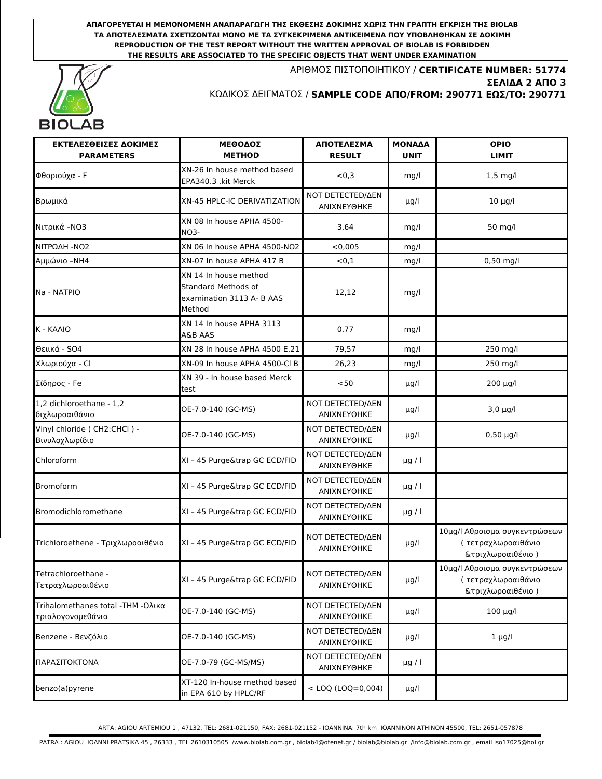**ΑΠΑΓΟΡΕΥΕΤΑΙ Η ΜΕΜΟΝΟΜΕΝΗ ΑΝΑΠΑΡΑΓΩΓΗ ΤΗΣ ΕΚΘΕΣΗΣ ΔΟΚΙΜΗΣ ΧΩΡΙΣ ΤΗΝ ΓΡΑΠΤΗ ΕΓΚΡΙΣΗ ΤΗΣ BIOLAB ΤΑ ΑΠΟΤΕΛΕΣΜΑΤΑ ΣΧΕΤΙΖΟΝΤΑΙ ΜΟΝΟ ΜΕ ΤΑ ΣΥΓΚΕΚΡΙΜΕΝΑ ΑΝΤΙΚΕΙΜΕΝΑ ΠΟΥ ΥΠΟΒΛΗΘΗΚΑΝ ΣΕ ΔΟΚΙΜΗ REPRODUCTION OF THE TEST REPORT WITHOUT THE WRITTEN APPROVAL OF BIOLAB IS FORBIDDEN THE RESULTS ARE ASSOCIATED TO THE SPECIFIC OBJECTS THAT WENT UNDER EXAMINATION**



ΑΡΙΘΜΟΣ ΠΙΣΤΟΠΟΙΗΤΙΚΟΥ / **CERTIFICATE NUMBER: 51774** ΚΩΔΙΚΟΣ ΔΕΙΓΜΑΤΟΣ / **SAMPLE CODE ΑΠΟ/FROM: 290771 ΕΩΣ/TO: 290771 ΣΕΛΙΔΑ 2 ΑΠΟ 3**

| ΕΚΤΕΛΕΣΘΕΙΣΕΣ ΔΟΚΙΜΕΣ<br><b>PARAMETERS</b>               | <b>ΜΕΘΟΔΟΣ</b><br><b>METHOD</b>                                                     | ΑΠΟΤΕΛΕΣΜΑ<br><b>RESULT</b>                   | <b>MONAAA</b><br><b>UNIT</b> | <b>OPIO</b><br><b>LIMIT</b>                                               |
|----------------------------------------------------------|-------------------------------------------------------------------------------------|-----------------------------------------------|------------------------------|---------------------------------------------------------------------------|
| Φθοριούχα - F                                            | XN-26 In house method based<br>EPA340.3, kit Merck                                  | < 0, 3                                        | mq/l                         | $1,5$ mg/l                                                                |
| Βρωμικά                                                  | XN-45 HPLC-IC DERIVATIZATION                                                        | NOT DETECTED/AEN<br>ANIXNEYOHKE               | µg/l                         | $10 \mu g/l$                                                              |
| Νιτρικά - ΝΟ3                                            | XN 08 In house APHA 4500-<br>NO3-                                                   | 3,64                                          | mq/l                         | 50 mg/l                                                                   |
| ΝΙΤΡΩΔΗ - ΝΟ2                                            | XN 06 In house APHA 4500-NO2                                                        | < 0.005                                       | mq/l                         |                                                                           |
| Αμμώνιο -ΝΗ4                                             | XN-07 In house APHA 417 B                                                           | < 0.1                                         | mg/l                         | 0,50 mg/l                                                                 |
| Na - NATPIO                                              | XN 14 In house method<br>Standard Methods of<br>examination 3113 A- B AAS<br>Method | 12,12                                         | mq/l                         |                                                                           |
| K - KAAIO                                                | XN 14 In house APHA 3113<br>A&B AAS                                                 | 0,77                                          | mq/l                         |                                                                           |
| Θειικά - SO4                                             | XN 28 In house APHA 4500 E.21                                                       | 79.57                                         | mq/l                         | 250 mg/l                                                                  |
| Χλωριούχα - Cl                                           | XN-09 In house APHA 4500-Cl B                                                       | 26,23                                         | mg/l                         | 250 mg/l                                                                  |
| Σίδηρος - Fe                                             | XN 39 - In house based Merck<br>test                                                | $50$                                          | $\mu$ g/l                    | 200 µg/l                                                                  |
| 1,2 dichloroethane - 1,2<br>διχλωροαιθάνιο               | OE-7.0-140 (GC-MS)                                                                  | <b>NOT DETECTED/ΔΕΝ</b><br>ΑΝΙΧΝΕΥΘΗΚΕ        | µg/l                         | $3.0 \mu g/l$                                                             |
| Vinyl chloride ( CH2:CHCl ) -<br>Βινυλοχλωρίδιο          | OE-7.0-140 (GC-MS)                                                                  | <b>ΝΟΤ DETECTED/ΔΕΝ</b><br>ANIXNEYOHKE        | µg/l                         | $0,50 \mu g/l$                                                            |
| Chloroform                                               | XI - 45 Purge&trap GC ECD/FID                                                       | <b>ΝΟΤ DETECTED/ΔΕΝ</b><br>ANIXNEYOHKE        | $\mu$ g / l                  |                                                                           |
| <b>Bromoform</b>                                         | XI - 45 Purge&trap GC ECD/FID                                                       | <b>NOT DETECTED/ΔEN</b><br>ΑΝΙΧΝΕΥΘΗΚΕ        | $\mu$ g / l                  |                                                                           |
| Bromodichloromethane                                     | XI - 45 Purge&trap GC ECD/FID                                                       | <b>ΝΟΤ DETECTED/ΔΕΝ</b><br><b>ANIXNEYOHKE</b> | $\mu$ g / l                  |                                                                           |
| Trichloroethene - Τριχλωροαιθένιο                        | XI - 45 Purge&trap GC ECD/FID                                                       | <b>NOT DETECTED/ΔΕΝ</b><br>ANIXNEYOHKE        | µg/l                         | 10μg/l Αθροισμα συγκεντρώσεων<br>( τετραχλωροαιθάνιο<br>&τριχλωροαιθένιο) |
| Tetrachloroethane -<br>Τετραχλωροαιθένιο                 | XI - 45 Purge&trap GC ECD/FID                                                       | <b>ΝΟΤ DETECTED/ΔΕΝ</b><br>ANIXNEYOHKE        | µg/l                         | 10μg/l Αθροισμα συγκεντρώσεων<br>( τετραχλωροαιθάνιο<br>&τριχλωροαιθένιο) |
| Trihalomethanes total - THM - Ολικα<br>τριαλογονομεθάνια | OE-7.0-140 (GC-MS)                                                                  | <b>NOT DETECTED/ΔΕΝ</b><br>ANIXNEYOHKE        | $\mu$ g/l                    | $100 \mu g/l$                                                             |
| Benzene - Βενζόλιο                                       | OE-7.0-140 (GC-MS)                                                                  | <b>NOT DETECTED/ΔΕΝ</b><br>ANIXNEYOHKE        | µg/l                         | $1 \mu g/l$                                                               |
| ΠΑΡΑΣΙΤΟΚΤΟΝΑ                                            | OE-7.0-79 (GC-MS/MS)                                                                | <b>ΝΟΤ DETECTED/ΔΕΝ</b><br>ANIXNEYOHKE        | $\mu$ g / l                  |                                                                           |
| benzo(a)pyrene                                           | XT-120 In-house method based<br>in EPA 610 by HPLC/RF                               | $<$ LOQ (LOQ=0,004)                           | µg/l                         |                                                                           |

ARTA: AGIOU ARTEMIOU 1 , 47132, TEL: 2681-021150, FAX: 2681-021152 - IOANNINA: 7th km IOANNINON ATHINON 45500, TEL: 2651-057878

PATRA : AGIOU IOANNI PRATSIKA 45 , 26333 , TEL 2610310505 /www.biolab.com.gr , biolab4@otenet.gr / biolab@biolab.gr /info@biolab.com.gr , email iso17025@hol.gr